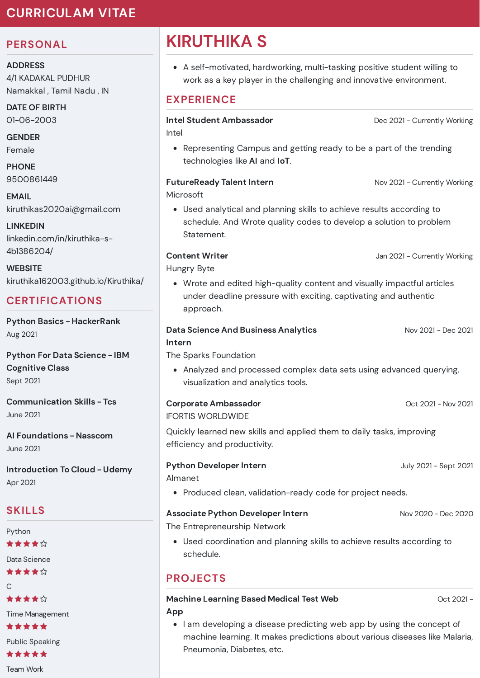## **CURRICULAM VITAE**

## **PERSONAL**

**ADDRESS**

4/1 KADAKAL PUDHUR Namakkal , Tamil Nadu , IN

**DATE OF BIRTH** 01-06-2003

**GENDER** Female

**PHONE** 9500861449

**EMAIL** kiruthikas2020ai@gmail.com

**LINKEDIN** linkedin.com/in/kiruthika-s-4b1386204/

**WEBSITE** kiruthika162003.github.io/Kiruthika/

## **CERTIFICATIONS**

**Python Basics - HackerRank** Aug 2021

**Python For Data Science - IBM Cognitive Class** Sept 2021

**Communication Skills - Tcs** June 2021

**AI Foundations - Nasscom** June 2021

**Introduction To Cloud - Udemy** Apr 2021

## **SKILLS**

Python \*\*\*\*\*

Data Science

\*\*\*\*\*

 $\cap$ 

★★★★☆

Time Management

\*\*\*\*\*

Public Speaking

\*\*\*\*\*

Team Work

# **KIRUTHIKA S**

A self-motivated, hardworking, multi-tasking positive student willing to work as a key player in the challenging and innovative environment.

## **EXPERIENCE**

**Intel Student Ambassador** Intel Dec 2021 - Currently Working

Representing Campus and getting ready to be a part of the trending technologies like **AI** and **IoT**.

#### **FutureReady Talent Intern** Microsoft

Used analytical and planning skills to achieve results according to schedule. And Wrote quality codes to develop a solution to problem Statement.

#### **Content Writer**

Hungry Byte

Wrote and edited high-quality content and visually impactful articles under deadline pressure with exciting, captivating and authentic approach.

### **Data Science And Business Analytics Intern**

The Sparks Foundation

Analyzed and processed complex data sets using advanced querying, visualization and analytics tools.

**Corporate Ambassador** IFORTIS WORLDWIDE

Quickly learned new skills and applied them to daily tasks, improving efficiency and productivity.

**Python Developer Intern**

Almanet

• Produced clean, validation-ready code for project needs.

**Associate Python Developer Intern**

The Entrepreneurship Network

Used coordination and planning skills to achieve results according to schedule.

## **PROJECTS**

#### **Machine Learning Based Medical Test Web App**

Oct 2021 -

• I am developing a disease predicting web app by using the concept of machine learning. It makes predictions about various diseases like Malaria, Pneumonia, Diabetes, etc.

Jan 2021 - Currently Working

Nov 2021 - Currently Working

Nov 2021 - Dec 2021

Oct 2021 - Nov 2021

July 2021 - Sept 2021

Nov 2020 - Dec 2020